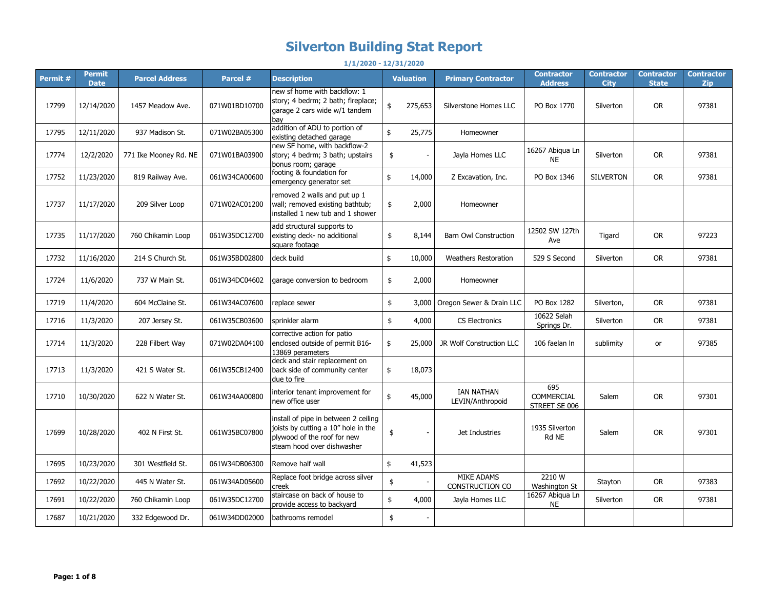## **Silverton Building Stat Report**

**Permit # Permit Date Parcel Address Parcel # Description Valuation Primary Contractor Contractor Address Contractor City Contractor State Contractor Zip** 17799 | 12/14/2020 | 1457 Meadow Ave. | 071W01BD10700 new sf home with backflow: 1 story; 4 bedrm; 2 bath; fireplace; garage 2 cars wide w/1 tandem bay \$ 275,653 Silverstone Homes LLC | PO Box 1770 | Silverton | OR | 97381 17795 12/11/2020 937 Madison St. 071W02BA05300 addition of ADU to portion of addition of ADO to portion of the server servers and the server Homeowner<br>existing detached garage 17774 12/2/2020 771 Ike Mooney Rd. NE 071W01BA03900 new SF home, with backflow-2 story; 4 bedrm; 3 bath; upstairs bonus room; garage  $\frac{16267 \text{ Abiqua Ln}}{NE}$  Jayla Homes LLC  $\frac{16267 \text{ Abiqua Ln}}{NE}$ NE Silverton OR <sup>97381</sup> 17752 11/23/2020 819 Railway Ave. 061W34CA00600 footing & foundation for  $\begin{array}{c|c|c|c|c|c|c} \text{reconformal} & \text{if} & \text{if} & \text{if} & \text{if} & \text{if} & \text{if} & \text{if} & \text{if} & \text{if} & \text{if} & \text{if} & \text{if} & \text{if} & \text{if} & \text{if} & \text{if} & \text{if} & \text{if} & \text{if} & \text{if} & \text{if} & \text{if} & \text{if} & \text{if} & \text{if} & \text{if} & \text{if} & \text{if} & \text{if} & \text{if} & \text{if} & \text{if} &$ 17737 11/17/2020 209 Silver Loop 071W02AC01200 removed 2 walls and put up 1 wall; removed existing bathtub; installed 1 new tub and 1 shower \$ 2,000 Homeowner 17735 11/17/2020 760 Chikamin Loop 061W35DC12700 add structural supports to existing deck- no additional square footage  $\begin{array}{|c|c|c|c|c|}\n\hline\n\text{ $6$ & $8,144$ \end{array}$  Barn Owl Construction  $\begin{array}{|c|c|c|c|}\n\hline\n12502 \text{ SW } 127 \text{th} \\
\text{Ave} & \text{Ave}\n\end{array}$ Preserval Tigard | OR | 97223<br>Ave 17732 | 11/16/2020 | 214 S Church St. | 061W35BD02800 |deck build | state state | \$ 10,000 | Weathers Restoration | 529 S Second | Silverton | OR | 97381 17724 11/6/2020 737 W Main St. 061W34DC04602 garage conversion to bedroom \$ 2,000 Homeowner 17719 | 11/4/2020 | 604 McClaine St. | 061W34AC07600 |replace sewer | \$ 3,000 | Oregon Sewer & Drain LLC | PO Box 1282 | Silverton, | OR | 97381 17716 11/3/2020 207 Jersey St. 061W35CB03600 sprinkler alarm 1962 Selah (\$ 4,000 CS Electronics 10622 Selah 10622 Selah Silverton OR 97381 17714 11/3/2020 228 Filbert Way 071W02DA04100 corrective action for patio enclosed outside of permit B16- 13869 perameters \$ 25,000 JR Wolf Construction LLC 106 faelan ln sublimity or 97385 17713 11/3/2020 421 S Water St. 061W35CB12400 deck and stair replacement on back side of community center due to fire \$ 18,073 17710 | 10/30/2020 | 622 N Water St. | 061W34AA00800 | interior tenant improvement for | \$ 45,000 | IAN NATHAN<br>| new office user LEVIN/Anthropoid 695 COMMERCIAL STREET SE 006 Salem | OR | 97301 17699 10/28/2020 402 N First St. 061W35BC07800 install of pipe in between 2 ceiling joists by cutting a 10" hole in the plywood of the roof for new steam hood over dishwasher  $\frac{1935 \text{ Silverton}}{Rd \text{ NE}}$  Jet Industries  $\frac{1935 \text{ Silverton}}{Rd \text{ NE}}$ Political Salem OR 97301 17695 | 10/23/2020 | 301 Westfield St. | 061W34DB06300 | Remove half wall  $\frac{1}{5}$  41,523 17692 | 10/22/2020 | 445 N Water St. | 061W34AD05600 Replace foot bridge across silver | \$ | MIKE ADAMS CONSTRUCTION CO 2210 W Vashington St Stayton OR 97383<br>
16267 Abiqua Ln <sub>C'i</sub>  $17691$  10/22/2020 760 Chikamin Loop 061W35DC12700 staircase on back of house to standabe on back of house to  $\left| \begin{array}{cc} \text{$\$} & 4,000 \end{array} \right|$  Jayla Homes LLC  $\left| \begin{array}{cc} 10207 & \text{ADIC} \\ \text{DF0} & \text{NE} \end{array} \right|$ NE Silverton OR 97381 17687 | 10/21/2020 | 332 Edgewood Dr. | 061W34DD02000 | bathrooms remodel \$ **1/1/2020 - 12/31/2020**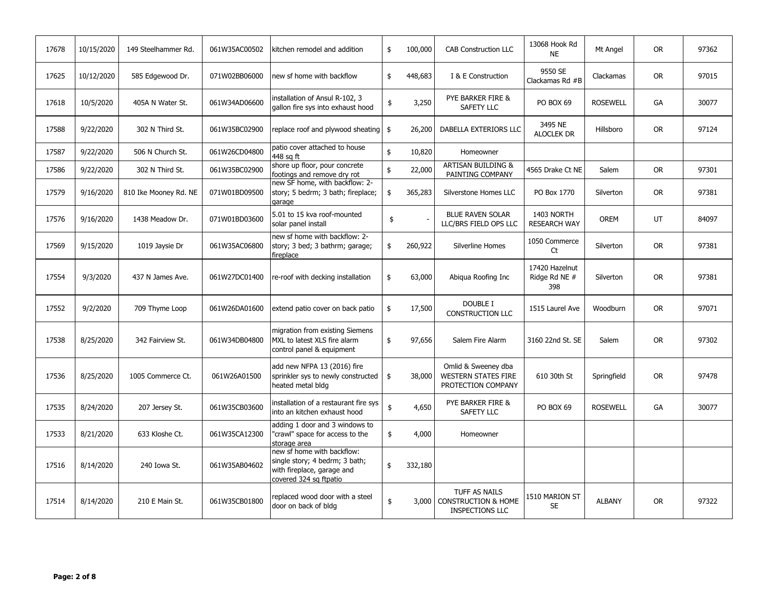| 17678 | 10/15/2020 | 149 Steelhammer Rd.   | 061W35AC00502 | kitchen remodel and addition                                                                                         | \$            | 100,000 | <b>CAB Construction LLC</b>                                               | 13068 Hook Rd<br><b>NE</b>             | Mt Angel        | <b>OR</b> | 97362 |
|-------|------------|-----------------------|---------------|----------------------------------------------------------------------------------------------------------------------|---------------|---------|---------------------------------------------------------------------------|----------------------------------------|-----------------|-----------|-------|
| 17625 | 10/12/2020 | 585 Edgewood Dr.      | 071W02BB06000 | new sf home with backflow                                                                                            | \$            | 448,683 | I & E Construction                                                        | 9550 SE<br>Clackamas Rd #B             | Clackamas       | <b>OR</b> | 97015 |
| 17618 | 10/5/2020  | 405A N Water St.      | 061W34AD06600 | installation of Ansul R-102, 3<br>gallon fire sys into exhaust hood                                                  | \$            | 3,250   | PYE BARKER FIRE &<br><b>SAFETY LLC</b>                                    | PO BOX 69                              | <b>ROSEWELL</b> | GA        | 30077 |
| 17588 | 9/22/2020  | 302 N Third St.       | 061W35BC02900 | replace roof and plywood sheating \ \$                                                                               |               | 26,200  | DABELLA EXTERIORS LLC                                                     | 3495 NE<br><b>ALOCLEK DR</b>           | Hillsboro       | <b>OR</b> | 97124 |
| 17587 | 9/22/2020  | 506 N Church St.      | 061W26CD04800 | patio cover attached to house<br>448 sg ft                                                                           | \$            | 10,820  | Homeowner                                                                 |                                        |                 |           |       |
| 17586 | 9/22/2020  | 302 N Third St.       | 061W35BC02900 | shore up floor, pour concrete<br>footings and remove dry rot                                                         | \$            | 22,000  | ARTISAN BUILDING &<br>PAINTING COMPANY                                    | 4565 Drake Ct NE                       | Salem           | <b>OR</b> | 97301 |
| 17579 | 9/16/2020  | 810 Ike Mooney Rd. NE | 071W01BD09500 | new SF home, with backflow: 2-<br>story; 5 bedrm; 3 bath; fireplace;<br>garage                                       | \$            | 365,283 | Silverstone Homes LLC                                                     | PO Box 1770                            | Silverton       | <b>OR</b> | 97381 |
| 17576 | 9/16/2020  | 1438 Meadow Dr.       | 071W01BD03600 | 5.01 to 15 kva roof-mounted<br>solar panel install                                                                   | \$            |         | <b>BLUE RAVEN SOLAR</b><br>LLC/BRS FIELD OPS LLC                          | 1403 NORTH<br><b>RESEARCH WAY</b>      | <b>OREM</b>     | UT        | 84097 |
| 17569 | 9/15/2020  | 1019 Jaysie Dr        | 061W35AC06800 | new sf home with backflow: 2-<br>story; 3 bed; 3 bathrm; garage;<br>fireplace                                        | \$            | 260,922 | Silverline Homes                                                          | 1050 Commerce<br>Ct                    | Silverton       | <b>OR</b> | 97381 |
| 17554 | 9/3/2020   | 437 N James Ave.      | 061W27DC01400 | re-roof with decking installation                                                                                    | \$            | 63,000  | Abigua Roofing Inc                                                        | 17420 Hazelnut<br>Ridge Rd NE #<br>398 | Silverton       | <b>OR</b> | 97381 |
| 17552 | 9/2/2020   | 709 Thyme Loop        | 061W26DA01600 | extend patio cover on back patio                                                                                     | \$            | 17,500  | DOUBLE I<br><b>CONSTRUCTION LLC</b>                                       | 1515 Laurel Ave                        | Woodburn        | <b>OR</b> | 97071 |
| 17538 | 8/25/2020  | 342 Fairview St.      | 061W34DB04800 | migration from existing Siemens<br>MXL to latest XLS fire alarm<br>control panel & equipment                         | \$            | 97,656  | Salem Fire Alarm                                                          | 3160 22nd St. SE                       | Salem           | <b>OR</b> | 97302 |
| 17536 | 8/25/2020  | 1005 Commerce Ct.     | 061W26A01500  | add new NFPA 13 (2016) fire<br>sprinkler sys to newly constructed<br>heated metal bldg                               | $\frac{1}{2}$ | 38,000  | Omlid & Sweeney dba<br><b>WESTERN STATES FIRE</b><br>PROTECTION COMPANY   | 610 30th St                            | Springfield     | <b>OR</b> | 97478 |
| 17535 | 8/24/2020  | 207 Jersey St.        | 061W35CB03600 | installation of a restaurant fire sys<br>into an kitchen exhaust hood                                                | $\frac{1}{2}$ | 4,650   | PYE BARKER FIRE &<br>SAFETY LLC                                           | PO BOX 69                              | <b>ROSEWELL</b> | GA        | 30077 |
| 17533 | 8/21/2020  | 633 Kloshe Ct.        | 061W35CA12300 | adding 1 door and 3 windows to<br>'crawl" space for access to the<br>storage area                                    | \$            | 4,000   | Homeowner                                                                 |                                        |                 |           |       |
| 17516 | 8/14/2020  | 240 Iowa St.          | 061W35AB04602 | new sf home with backflow:<br>single story; 4 bedrm; 3 bath;<br>with fireplace, garage and<br>covered 324 sg ftpatio | \$            | 332,180 |                                                                           |                                        |                 |           |       |
| 17514 | 8/14/2020  | 210 E Main St.        | 061W35CB01800 | replaced wood door with a steel<br>door on back of bldg                                                              | \$            | 3,000   | TUFF AS NAILS<br><b>CONSTRUCTION &amp; HOME</b><br><b>INSPECTIONS LLC</b> | 1510 MARION ST<br><b>SE</b>            | <b>ALBANY</b>   | <b>OR</b> | 97322 |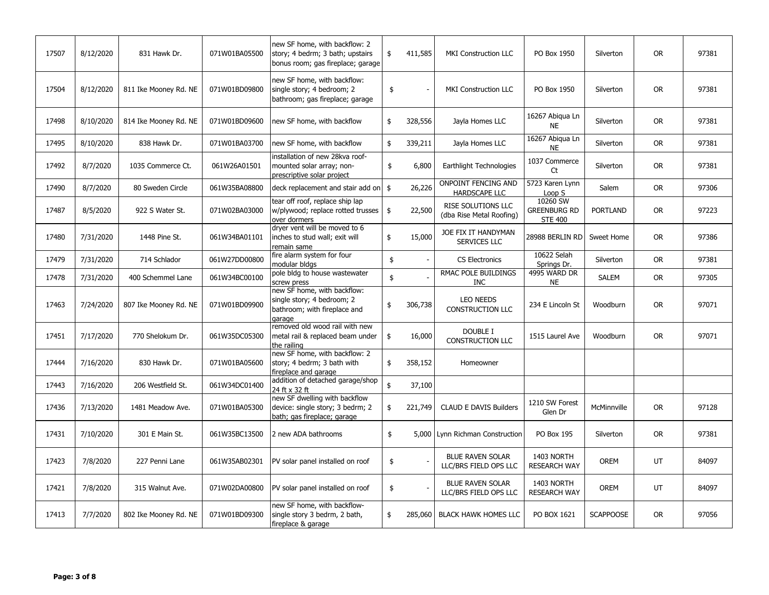| 17507 | 8/12/2020 | 831 Hawk Dr.          | 071W01BA05500 | new SF home, with backflow: 2<br>story; 4 bedrm; 3 bath; upstairs<br>bonus room; gas fireplace; garage | \$            | 411,585 | <b>MKI Construction LLC</b>                      | PO Box 1950                                       | Silverton        | <b>OR</b> | 97381 |
|-------|-----------|-----------------------|---------------|--------------------------------------------------------------------------------------------------------|---------------|---------|--------------------------------------------------|---------------------------------------------------|------------------|-----------|-------|
| 17504 | 8/12/2020 | 811 Ike Mooney Rd. NE | 071W01BD09800 | new SF home, with backflow:<br>single story; 4 bedroom; 2<br>bathroom; gas fireplace; garage           | \$            |         | <b>MKI Construction LLC</b>                      | PO Box 1950                                       | Silverton        | <b>OR</b> | 97381 |
| 17498 | 8/10/2020 | 814 Ike Mooney Rd. NE | 071W01BD09600 | new SF home, with backflow                                                                             | \$            | 328,556 | Jayla Homes LLC                                  | 16267 Abigua Ln<br><b>NE</b>                      | Silverton        | <b>OR</b> | 97381 |
| 17495 | 8/10/2020 | 838 Hawk Dr.          | 071W01BA03700 | new SF home, with backflow                                                                             | \$            | 339,211 | Jayla Homes LLC                                  | 16267 Abigua Ln<br><b>NE</b>                      | Silverton        | <b>OR</b> | 97381 |
| 17492 | 8/7/2020  | 1035 Commerce Ct.     | 061W26A01501  | installation of new 28kva roof-<br>mounted solar array; non-<br>prescriptive solar project             | \$            | 6,800   | Earthlight Technologies                          | 1037 Commerce<br>Ct                               | Silverton        | <b>OR</b> | 97381 |
| 17490 | 8/7/2020  | 80 Sweden Circle      | 061W35BA08800 | deck replacement and stair add on                                                                      | $\frac{1}{2}$ | 26,226  | ONPOINT FENCING AND<br>HARDSCAPE LLC             | 5723 Karen Lynn<br>Loop S                         | Salem            | <b>OR</b> | 97306 |
| 17487 | 8/5/2020  | 922 S Water St.       | 071W02BA03000 | tear off roof, replace ship lap<br>w/plywood; replace rotted trusses<br>over dormers                   | \$            | 22,500  | RISE SOLUTIONS LLC<br>(dba Rise Metal Roofing)   | 10260 SW<br><b>GREENBURG RD</b><br><b>STE 400</b> | <b>PORTLAND</b>  | <b>OR</b> | 97223 |
| 17480 | 7/31/2020 | 1448 Pine St.         | 061W34BA01101 | dryer vent will be moved to 6<br>inches to stud wall; exit will<br>remain same                         | \$            | 15,000  | JOE FIX IT HANDYMAN<br>SERVICES LLC              | 28988 BERLIN RD                                   | Sweet Home       | <b>OR</b> | 97386 |
| 17479 | 7/31/2020 | 714 Schlador          | 061W27DD00800 | fire alarm system for four<br>modular bldgs                                                            | \$            |         | <b>CS Electronics</b>                            | 10622 Selah<br>Springs Dr.                        | Silverton        | <b>OR</b> | 97381 |
| 17478 | 7/31/2020 | 400 Schemmel Lane     | 061W34BC00100 | pole bldg to house wastewater<br>screw press                                                           | \$            |         | RMAC POLE BUILDINGS<br><b>INC</b>                | 4995 WARD DR<br><b>NE</b>                         | SALEM            | <b>OR</b> | 97305 |
| 17463 | 7/24/2020 | 807 Ike Mooney Rd. NE | 071W01BD09900 | new SF home, with backflow:<br>single story; 4 bedroom; 2<br>bathroom; with fireplace and<br>aarage    | \$            | 306,738 | <b>LEO NEEDS</b><br>CONSTRUCTION LLC             | 234 E Lincoln St                                  | Woodburn         | <b>OR</b> | 97071 |
| 17451 | 7/17/2020 | 770 Shelokum Dr.      | 061W35DC05300 | removed old wood rail with new<br>metal rail & replaced beam under<br>the railing                      | \$            | 16,000  | <b>DOUBLE I</b><br><b>CONSTRUCTION LLC</b>       | 1515 Laurel Ave                                   | Woodburn         | <b>OR</b> | 97071 |
| 17444 | 7/16/2020 | 830 Hawk Dr.          | 071W01BA05600 | new SF home, with backflow: 2<br>story; 4 bedrm; 3 bath with<br>fireplace and garage                   | \$            | 358,152 | Homeowner                                        |                                                   |                  |           |       |
| 17443 | 7/16/2020 | 206 Westfield St.     | 061W34DC01400 | addition of detached garage/shop<br>24 ft x 32 ft                                                      | \$            | 37,100  |                                                  |                                                   |                  |           |       |
| 17436 | 7/13/2020 | 1481 Meadow Ave.      | 071W01BA05300 | new SF dwelling with backflow<br>device: single story; 3 bedrm; 2<br>bath; gas fireplace; garage       | \$            | 221,749 | <b>CLAUD E DAVIS Builders</b>                    | 1210 SW Forest<br>Glen Dr                         | McMinnville      | <b>OR</b> | 97128 |
| 17431 | 7/10/2020 | 301 E Main St.        | 061W35BC13500 | 2 new ADA bathrooms                                                                                    | \$            |         | 5,000 Lynn Richman Construction                  | PO Box 195                                        | Silverton        | <b>OR</b> | 97381 |
| 17423 | 7/8/2020  | 227 Penni Lane        | 061W35AB02301 | PV solar panel installed on roof                                                                       | \$            |         | <b>BLUE RAVEN SOLAR</b><br>LLC/BRS FIELD OPS LLC | 1403 NORTH<br><b>RESEARCH WAY</b>                 | <b>OREM</b>      | UT        | 84097 |
| 17421 | 7/8/2020  | 315 Walnut Ave.       | 071W02DA00800 | PV solar panel installed on roof                                                                       | \$            |         | <b>BLUE RAVEN SOLAR</b><br>LLC/BRS FIELD OPS LLC | 1403 NORTH<br><b>RESEARCH WAY</b>                 | OREM             | UT        | 84097 |
| 17413 | 7/7/2020  | 802 Ike Mooney Rd. NE | 071W01BD09300 | new SF home, with backflow-<br>single story 3 bedrm, 2 bath,<br>fireplace & garage                     | \$            | 285,060 | <b>BLACK HAWK HOMES LLC</b>                      | PO BOX 1621                                       | <b>SCAPPOOSE</b> | <b>OR</b> | 97056 |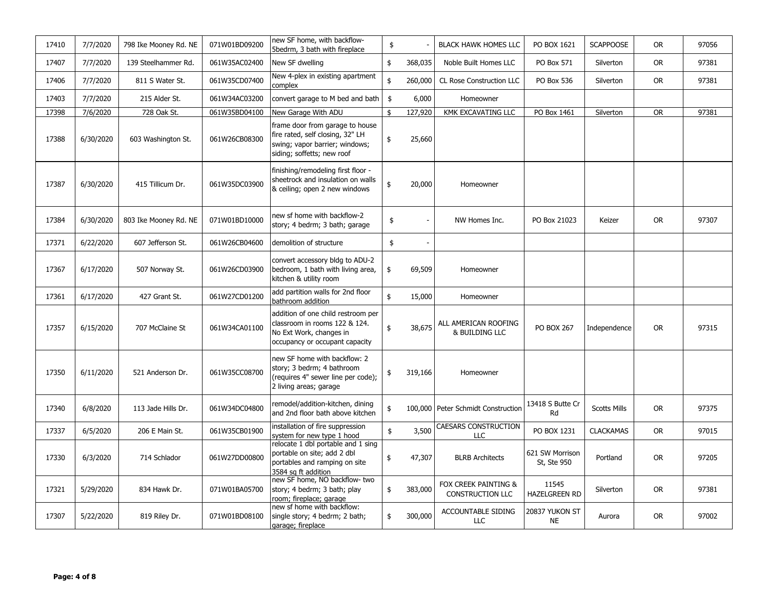| 17410 | 7/7/2020  | 798 Ike Mooney Rd. NE | 071W01BD09200 | new SF home, with backflow-<br>5bedrm, 3 bath with fireplace                                                                        | \$            |         | <b>BLACK HAWK HOMES LLC</b>                     | PO BOX 1621                    | <b>SCAPPOOSE</b>    | <b>OR</b> | 97056 |
|-------|-----------|-----------------------|---------------|-------------------------------------------------------------------------------------------------------------------------------------|---------------|---------|-------------------------------------------------|--------------------------------|---------------------|-----------|-------|
| 17407 | 7/7/2020  | 139 Steelhammer Rd.   | 061W35AC02400 | New SF dwelling                                                                                                                     | \$            | 368,035 | Noble Built Homes LLC                           | PO Box 571                     | Silverton           | <b>OR</b> | 97381 |
| 17406 | 7/7/2020  | 811 S Water St.       | 061W35CD07400 | New 4-plex in existing apartment<br>complex                                                                                         | \$            | 260,000 | CL Rose Construction LLC                        | PO Box 536                     | Silverton           | <b>OR</b> | 97381 |
| 17403 | 7/7/2020  | 215 Alder St.         | 061W34AC03200 | convert garage to M bed and bath                                                                                                    | $\frac{1}{2}$ | 6,000   | Homeowner                                       |                                |                     |           |       |
| 17398 | 7/6/2020  | 728 Oak St.           | 061W35BD04100 | New Garage With ADU                                                                                                                 | \$            | 127,920 | KMK EXCAVATING LLC                              | PO Box 1461                    | Silverton           | <b>OR</b> | 97381 |
| 17388 | 6/30/2020 | 603 Washington St.    | 061W26CB08300 | frame door from garage to house<br>fire rated, self closing, 32" LH<br>swing; vapor barrier; windows;<br>siding; soffetts; new roof | \$            | 25,660  |                                                 |                                |                     |           |       |
| 17387 | 6/30/2020 | 415 Tillicum Dr.      | 061W35DC03900 | finishing/remodeling first floor -<br>sheetrock and insulation on walls<br>& ceiling; open 2 new windows                            | \$            | 20,000  | Homeowner                                       |                                |                     |           |       |
| 17384 | 6/30/2020 | 803 Ike Mooney Rd. NE | 071W01BD10000 | new sf home with backflow-2<br>story; 4 bedrm; 3 bath; garage                                                                       | \$            |         | NW Homes Inc.                                   | PO Box 21023                   | Keizer              | <b>OR</b> | 97307 |
| 17371 | 6/22/2020 | 607 Jefferson St.     | 061W26CB04600 | demolition of structure                                                                                                             | \$            |         |                                                 |                                |                     |           |       |
| 17367 | 6/17/2020 | 507 Norway St.        | 061W26CD03900 | convert accessory bldg to ADU-2<br>bedroom, 1 bath with living area,<br>kitchen & utility room                                      | \$            | 69,509  | Homeowner                                       |                                |                     |           |       |
| 17361 | 6/17/2020 | 427 Grant St.         | 061W27CD01200 | add partition walls for 2nd floor<br>bathroom addition                                                                              | \$            | 15,000  | Homeowner                                       |                                |                     |           |       |
| 17357 | 6/15/2020 | 707 McClaine St       | 061W34CA01100 | addition of one child restroom per<br>classroom in rooms 122 & 124.<br>No Ext Work, changes in<br>occupancy or occupant capacity    | \$            | 38,675  | ALL AMERICAN ROOFING<br>& BUILDING LLC          | <b>PO BOX 267</b>              | Independence        | <b>OR</b> | 97315 |
| 17350 | 6/11/2020 | 521 Anderson Dr.      | 061W35CC08700 | new SF home with backflow: 2<br>story; 3 bedrm; 4 bathroom<br>(requires 4" sewer line per code);<br>2 living areas; garage          | \$            | 319,166 | Homeowner                                       |                                |                     |           |       |
| 17340 | 6/8/2020  | 113 Jade Hills Dr.    | 061W34DC04800 | remodel/addition-kitchen, dining<br>and 2nd floor bath above kitchen                                                                | \$            |         | 100,000 Peter Schmidt Construction              | 13418 S Butte Cr<br>Rd         | <b>Scotts Mills</b> | <b>OR</b> | 97375 |
| 17337 | 6/5/2020  | 206 E Main St.        | 061W35CB01900 | installation of fire suppression<br>system for new type 1 hood                                                                      | $\frac{1}{2}$ | 3,500   | <b>CAESARS CONSTRUCTION</b><br>LLC              | PO BOX 1231                    | <b>CLACKAMAS</b>    | <b>OR</b> | 97015 |
| 17330 | 6/3/2020  | 714 Schlador          | 061W27DD00800 | relocate 1 dbl portable and 1 sing<br>portable on site; add 2 dbl<br>portables and ramping on site<br>3584 sq ft addition           | \$            | 47,307  | <b>BLRB Architects</b>                          | 621 SW Morrison<br>St, Ste 950 | Portland            | <b>OR</b> | 97205 |
| 17321 | 5/29/2020 | 834 Hawk Dr.          | 071W01BA05700 | new SF home, NO backflow- two<br>story; 4 bedrm; 3 bath; play<br>room; fireplace; garage                                            | \$            | 383,000 | FOX CREEK PAINTING &<br><b>CONSTRUCTION LLC</b> | 11545<br><b>HAZELGREEN RD</b>  | Silverton           | <b>OR</b> | 97381 |
| 17307 | 5/22/2020 | 819 Riley Dr.         | 071W01BD08100 | new sf home with backflow:<br>single story; 4 bedrm; 2 bath;<br>garage; fireplace                                                   | \$            | 300,000 | ACCOUNTABLE SIDING<br><b>LLC</b>                | 20837 YUKON ST<br><b>NE</b>    | Aurora              | <b>OR</b> | 97002 |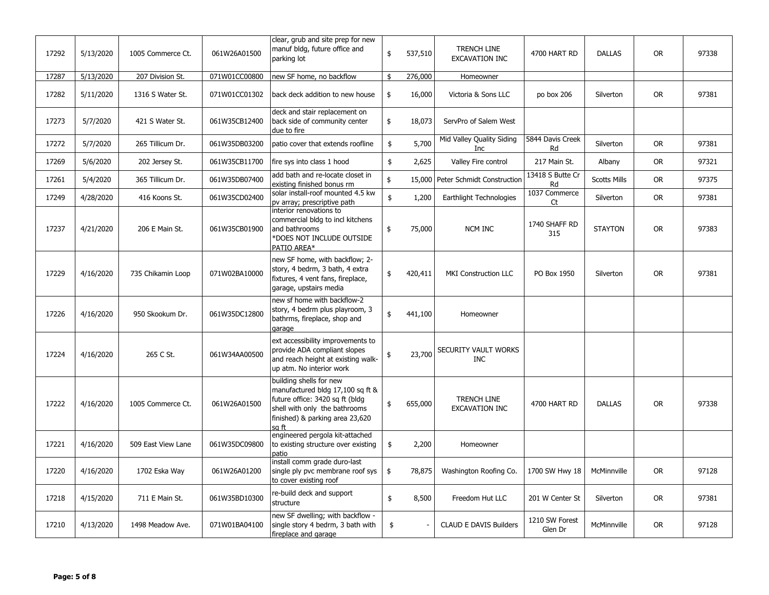| 17292 | 5/13/2020 | 1005 Commerce Ct.  | 061W26A01500  | clear, grub and site prep for new<br>manuf bldg, future office and<br>parking lot                                                                                           | \$            | 537,510 | <b>TRENCH LINE</b><br>EXCAVATION INC    | 4700 HART RD              | <b>DALLAS</b>       | <b>OR</b> | 97338 |
|-------|-----------|--------------------|---------------|-----------------------------------------------------------------------------------------------------------------------------------------------------------------------------|---------------|---------|-----------------------------------------|---------------------------|---------------------|-----------|-------|
| 17287 | 5/13/2020 | 207 Division St.   | 071W01CC00800 | new SF home, no backflow                                                                                                                                                    | \$            | 276,000 | Homeowner                               |                           |                     |           |       |
| 17282 | 5/11/2020 | 1316 S Water St.   | 071W01CC01302 | back deck addition to new house                                                                                                                                             | \$            | 16,000  | Victoria & Sons LLC                     | po box 206                | Silverton           | <b>OR</b> | 97381 |
| 17273 | 5/7/2020  | 421 S Water St.    | 061W35CB12400 | deck and stair replacement on<br>back side of community center<br>due to fire                                                                                               | \$            | 18,073  | ServPro of Salem West                   |                           |                     |           |       |
| 17272 | 5/7/2020  | 265 Tillicum Dr.   | 061W35DB03200 | patio cover that extends roofline                                                                                                                                           | \$            | 5,700   | Mid Valley Quality Siding<br><b>Inc</b> | 5844 Davis Creek<br>Rd    | Silverton           | <b>OR</b> | 97381 |
| 17269 | 5/6/2020  | 202 Jersey St.     | 061W35CB11700 | fire sys into class 1 hood                                                                                                                                                  | \$            | 2,625   | Valley Fire control                     | 217 Main St.              | Albany              | <b>OR</b> | 97321 |
| 17261 | 5/4/2020  | 365 Tillicum Dr.   | 061W35DB07400 | add bath and re-locate closet in<br>existing finished bonus rm                                                                                                              | \$            |         | 15,000 Peter Schmidt Construction       | 13418 S Butte Cr<br>Rd    | <b>Scotts Mills</b> | <b>OR</b> | 97375 |
| 17249 | 4/28/2020 | 416 Koons St.      | 061W35CD02400 | solar install-roof mounted 4.5 kw<br>py array; prescriptive path                                                                                                            | $\pmb{\$}$    | 1,200   | Earthlight Technologies                 | 1037 Commerce<br>Ct       | Silverton           | <b>OR</b> | 97381 |
| 17237 | 4/21/2020 | 206 E Main St.     | 061W35CB01900 | interior renovations to<br>commercial bldg to incl kitchens<br>and bathrooms<br>*DOES NOT INCLUDE OUTSIDE<br>PATIO AREA*                                                    | \$            | 75,000  | NCM INC                                 | 1740 SHAFF RD<br>315      | <b>STAYTON</b>      | <b>OR</b> | 97383 |
| 17229 | 4/16/2020 | 735 Chikamin Loop  | 071W02BA10000 | new SF home, with backflow; 2-<br>story, 4 bedrm, 3 bath, 4 extra<br>fixtures, 4 vent fans, fireplace,<br>garage, upstairs media                                            | \$            | 420,411 | <b>MKI Construction LLC</b>             | PO Box 1950               | Silverton           | <b>OR</b> | 97381 |
| 17226 | 4/16/2020 | 950 Skookum Dr.    | 061W35DC12800 | new sf home with backflow-2<br>story, 4 bedrm plus playroom, 3<br>bathrms, fireplace, shop and<br>garage                                                                    | \$            | 441,100 | Homeowner                               |                           |                     |           |       |
| 17224 | 4/16/2020 | 265 C St.          | 061W34AA00500 | ext accessibility improvements to<br>provide ADA compliant slopes<br>and reach height at existing walk-<br>up atm. No interior work                                         | \$            | 23,700  | SECURITY VAULT WORKS<br><b>INC</b>      |                           |                     |           |       |
| 17222 | 4/16/2020 | 1005 Commerce Ct.  | 061W26A01500  | building shells for new<br>manufactured bldg 17,100 sq ft &<br>future office: 3420 sg ft (bldg<br>shell with only the bathrooms<br>finished) & parking area 23,620<br>sa ft | \$            | 655,000 | <b>TRENCH LINE</b><br>EXCAVATION INC    | 4700 HART RD              | <b>DALLAS</b>       | <b>OR</b> | 97338 |
| 17221 | 4/16/2020 | 509 East View Lane | 061W35DC09800 | engineered pergola kit-attached<br>to existing structure over existing<br>patio                                                                                             | \$            | 2,200   | Homeowner                               |                           |                     |           |       |
| 17220 | 4/16/2020 | 1702 Eska Way      | 061W26A01200  | install comm grade duro-last<br>single ply pvc membrane roof sys<br>to cover existing roof                                                                                  | $\frac{1}{2}$ | 78,875  | Washington Roofing Co.                  | 1700 SW Hwy 18            | McMinnville         | <b>OR</b> | 97128 |
| 17218 | 4/15/2020 | 711 E Main St.     | 061W35BD10300 | re-build deck and support<br>structure                                                                                                                                      | $\frac{1}{2}$ | 8,500   | Freedom Hut LLC                         | 201 W Center St           | Silverton           | <b>OR</b> | 97381 |
| 17210 | 4/13/2020 | 1498 Meadow Ave.   | 071W01BA04100 | new SF dwelling; with backflow -<br>single story 4 bedrm, 3 bath with<br>fireplace and garage                                                                               | \$            |         | <b>CLAUD E DAVIS Builders</b>           | 1210 SW Forest<br>Glen Dr | McMinnville         | <b>OR</b> | 97128 |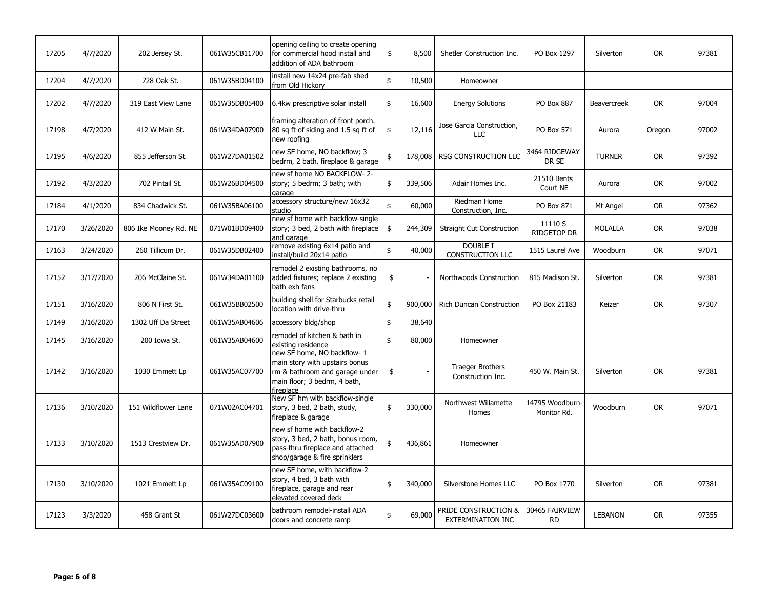| 17205 | 4/7/2020  | 202 Jersey St.        | 061W35CB11700 | opening ceiling to create opening<br>for commercial hood install and<br>addition of ADA bathroom                                             | \$            | 8,500   | Shetler Construction Inc.                        | PO Box 1297                    | Silverton      | <b>OR</b> | 97381 |
|-------|-----------|-----------------------|---------------|----------------------------------------------------------------------------------------------------------------------------------------------|---------------|---------|--------------------------------------------------|--------------------------------|----------------|-----------|-------|
| 17204 | 4/7/2020  | 728 Oak St.           | 061W35BD04100 | nstall new 14x24 pre-fab shed<br>from Old Hickory                                                                                            | \$            | 10,500  | Homeowner                                        |                                |                |           |       |
| 17202 | 4/7/2020  | 319 East View Lane    | 061W35DB05400 | 6.4kw prescriptive solar install                                                                                                             | \$            | 16,600  | <b>Energy Solutions</b>                          | PO Box 887                     | Beavercreek    | <b>OR</b> | 97004 |
| 17198 | 4/7/2020  | 412 W Main St.        | 061W34DA07900 | framing alteration of front porch.<br>80 sq ft of siding and 1.5 sq ft of<br>new roofing                                                     | \$            | 12,116  | Jose Garcia Construction,<br>LLC                 | PO Box 571                     | Aurora         | Oregon    | 97002 |
| 17195 | 4/6/2020  | 855 Jefferson St.     | 061W27DA01502 | new SF home, NO backflow; 3<br>bedrm, 2 bath, fireplace & garage                                                                             | \$            | 178,008 | <b>RSG CONSTRUCTION LLC</b>                      | 3464 RIDGEWAY<br>DR SE         | <b>TURNER</b>  | <b>OR</b> | 97392 |
| 17192 | 4/3/2020  | 702 Pintail St.       | 061W26BD04500 | new sf home NO BACKFLOW-2-<br>story; 5 bedrm; 3 bath; with<br>aarage                                                                         | \$            | 339,506 | Adair Homes Inc.                                 | 21510 Bents<br>Court NE        | Aurora         | <b>OR</b> | 97002 |
| 17184 | 4/1/2020  | 834 Chadwick St.      | 061W35BA06100 | accessory structure/new 16x32<br>studio                                                                                                      | $\frac{1}{2}$ | 60,000  | Riedman Home<br>Construction, Inc.               | PO Box 871                     | Mt Angel       | <b>OR</b> | 97362 |
| 17170 | 3/26/2020 | 806 Ike Mooney Rd. NE | 071W01BD09400 | new sf home with backflow-single<br>story; 3 bed, 2 bath with fireplace<br>and garage                                                        | \$            | 244,309 | <b>Straight Cut Construction</b>                 | 11110 S<br><b>RIDGETOP DR</b>  | MOLALLA        | <b>OR</b> | 97038 |
| 17163 | 3/24/2020 | 260 Tillicum Dr.      | 061W35DB02400 | remove existing 6x14 patio and<br>install/build 20x14 patio                                                                                  | \$            | 40,000  | DOUBLE I<br><b>CONSTRUCTION LLC</b>              | 1515 Laurel Ave                | Woodburn       | <b>OR</b> | 97071 |
| 17152 | 3/17/2020 | 206 McClaine St.      | 061W34DA01100 | remodel 2 existing bathrooms, no<br>added fixtures; replace 2 existing<br>bath exh fans                                                      | \$            |         | Northwoods Construction                          | 815 Madison St.                | Silverton      | <b>OR</b> | 97381 |
| 17151 | 3/16/2020 | 806 N First St.       | 061W35BB02500 | building shell for Starbucks retail<br>location with drive-thru                                                                              | \$            | 900,000 | Rich Duncan Construction                         | PO Box 21183                   | Keizer         | <b>OR</b> | 97307 |
| 17149 | 3/16/2020 | 1302 Uff Da Street    | 061W35AB04606 | accessory bldg/shop                                                                                                                          | \$            | 38,640  |                                                  |                                |                |           |       |
| 17145 | 3/16/2020 | 200 Iowa St.          | 061W35AB04600 | remodel of kitchen & bath in<br>existing residence                                                                                           | \$            | 80,000  | Homeowner                                        |                                |                |           |       |
| 17142 | 3/16/2020 | 1030 Emmett Lp        | 061W35AC07700 | new SF home, NO backflow- 1<br>main story with upstairs bonus<br>rm & bathroom and garage under<br>main floor; 3 bedrm, 4 bath,<br>fireplace | \$            |         | <b>Traeger Brothers</b><br>Construction Inc.     | 450 W. Main St.                | Silverton      | <b>OR</b> | 97381 |
| 17136 | 3/10/2020 | 151 Wildflower Lane   | 071W02AC04701 | New SF hm with backflow-single<br>story, 3 bed, 2 bath, study,<br>fireplace & garage                                                         | \$            | 330,000 | Northwest Willamette<br>Homes                    | 14795 Woodburn-<br>Monitor Rd. | Woodburn       | <b>OR</b> | 97071 |
| 17133 | 3/10/2020 | 1513 Crestview Dr.    | 061W35AD07900 | new sf home with backflow-2<br>story, 3 bed, 2 bath, bonus room,<br>pass-thru fireplace and attached<br>shop/garage & fire sprinklers        | \$            | 436,861 | Homeowner                                        |                                |                |           |       |
| 17130 | 3/10/2020 | 1021 Emmett Lp        | 061W35AC09100 | new SF home, with backflow-2<br>story, 4 bed, 3 bath with<br>fireplace, garage and rear<br>elevated covered deck                             | \$            | 340,000 | Silverstone Homes LLC                            | PO Box 1770                    | Silverton      | <b>OR</b> | 97381 |
| 17123 | 3/3/2020  | 458 Grant St          | 061W27DC03600 | bathroom remodel-install ADA<br>doors and concrete ramp                                                                                      | \$            | 69,000  | PRIDE CONSTRUCTION &<br><b>EXTERMINATION INC</b> | 30465 FAIRVIEW<br><b>RD</b>    | <b>LEBANON</b> | <b>OR</b> | 97355 |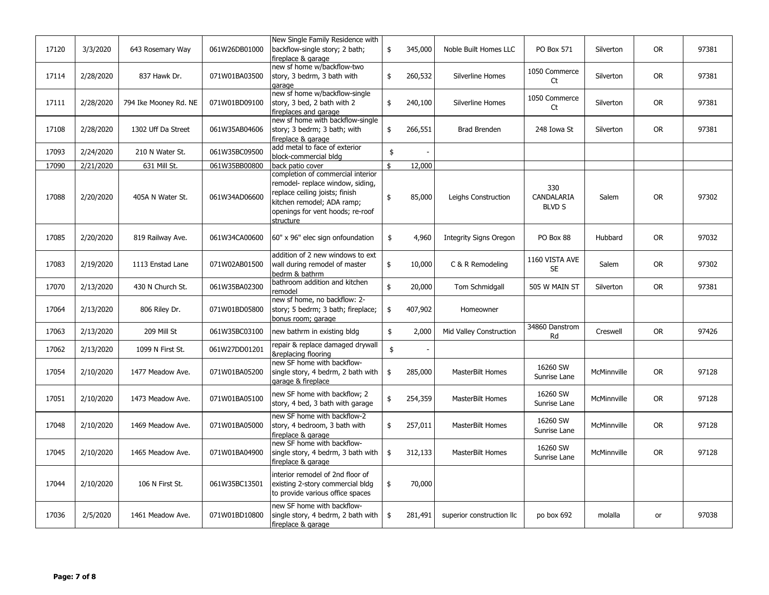| 17120 | 3/3/2020  | 643 Rosemary Way      | 061W26DB01000 | New Single Family Residence with<br>backflow-single story; 2 bath;<br>fireplace & garage                                                                                               | \$<br>345,000 | Noble Built Homes LLC         | PO Box 571                         | Silverton   | <b>OR</b> | 97381 |
|-------|-----------|-----------------------|---------------|----------------------------------------------------------------------------------------------------------------------------------------------------------------------------------------|---------------|-------------------------------|------------------------------------|-------------|-----------|-------|
| 17114 | 2/28/2020 | 837 Hawk Dr.          | 071W01BA03500 | new sf home w/backflow-two<br>story, 3 bedrm, 3 bath with<br>garage                                                                                                                    | \$<br>260,532 | Silverline Homes              | 1050 Commerce<br>Ct                | Silverton   | <b>OR</b> | 97381 |
| 17111 | 2/28/2020 | 794 Ike Mooney Rd. NE | 071W01BD09100 | new sf home w/backflow-single<br>story, 3 bed, 2 bath with 2<br>fireplaces and garage                                                                                                  | \$<br>240,100 | Silverline Homes              | 1050 Commerce<br>Ct                | Silverton   | <b>OR</b> | 97381 |
| 17108 | 2/28/2020 | 1302 Uff Da Street    | 061W35AB04606 | new sf home with backflow-single<br>story; 3 bedrm; 3 bath; with<br>fireplace & garage                                                                                                 | \$<br>266,551 | Brad Brenden                  | 248 Iowa St                        | Silverton   | <b>OR</b> | 97381 |
| 17093 | 2/24/2020 | 210 N Water St.       | 061W35BC09500 | add metal to face of exterior<br>block-commercial bldg                                                                                                                                 | \$            |                               |                                    |             |           |       |
| 17090 | 2/21/2020 | 631 Mill St.          | 061W35BB00800 | back patio cover                                                                                                                                                                       | \$<br>12,000  |                               |                                    |             |           |       |
| 17088 | 2/20/2020 | 405A N Water St.      | 061W34AD06600 | completion of commercial interior<br>remodel- replace window, siding,<br>replace ceiling joists; finish<br>kitchen remodel; ADA ramp;<br>openings for vent hoods; re-roof<br>structure | \$<br>85,000  | Leighs Construction           | 330<br>CANDALARIA<br><b>BLVD S</b> | Salem       | <b>OR</b> | 97302 |
| 17085 | 2/20/2020 | 819 Railway Ave.      | 061W34CA00600 | 60" x 96" elec sign onfoundation                                                                                                                                                       | \$<br>4,960   | <b>Integrity Signs Oregon</b> | PO Box 88                          | Hubbard     | <b>OR</b> | 97032 |
| 17083 | 2/19/2020 | 1113 Enstad Lane      | 071W02AB01500 | addition of 2 new windows to ext<br>wall during remodel of master<br>bedrm & bathrm                                                                                                    | \$<br>10,000  | C & R Remodeling              | 1160 VISTA AVE<br><b>SE</b>        | Salem       | <b>OR</b> | 97302 |
| 17070 | 2/13/2020 | 430 N Church St.      | 061W35BA02300 | bathroom addition and kitchen<br>remodel                                                                                                                                               | \$<br>20,000  | Tom Schmidgall                | 505 W MAIN ST                      | Silverton   | <b>OR</b> | 97381 |
| 17064 | 2/13/2020 | 806 Riley Dr.         | 071W01BD05800 | new sf home, no backflow: 2-<br>story; 5 bedrm; 3 bath; fireplace;<br>bonus room; garage                                                                                               | \$<br>407,902 | Homeowner                     |                                    |             |           |       |
| 17063 | 2/13/2020 | 209 Mill St           | 061W35BC03100 | new bathrm in existing bldg                                                                                                                                                            | \$<br>2,000   | Mid Valley Construction       | 34860 Danstrom<br>Rd               | Creswell    | <b>OR</b> | 97426 |
| 17062 | 2/13/2020 | 1099 N First St.      | 061W27DD01201 | repair & replace damaged drywall<br>&replacing flooring                                                                                                                                | \$            |                               |                                    |             |           |       |
| 17054 | 2/10/2020 | 1477 Meadow Ave.      | 071W01BA05200 | new SF home with backflow-<br>single story, 4 bedrm, 2 bath with<br>garage & fireplace                                                                                                 | \$<br>285,000 | MasterBilt Homes              | 16260 SW<br>Sunrise Lane           | McMinnville | <b>OR</b> | 97128 |
| 17051 | 2/10/2020 | 1473 Meadow Ave.      | 071W01BA05100 | new SF home with backflow; 2<br>story, 4 bed, 3 bath with garage                                                                                                                       | \$<br>254,359 | MasterBilt Homes              | 16260 SW<br>Sunrise Lane           | McMinnville | <b>OR</b> | 97128 |
| 17048 | 2/10/2020 | 1469 Meadow Ave.      | 071W01BA05000 | new SF home with backflow-2<br>story, 4 bedroom, 3 bath with<br>fireplace & garage                                                                                                     | \$<br>257,011 | MasterBilt Homes              | 16260 SW<br>Sunrise Lane           | McMinnville | <b>OR</b> | 97128 |
| 17045 | 2/10/2020 | 1465 Meadow Ave.      | 071W01BA04900 | new SF home with backflow-<br>single story, 4 bedrm, 3 bath with<br>fireplace & garage                                                                                                 | \$<br>312,133 | <b>MasterBilt Homes</b>       | 16260 SW<br>Sunrise Lane           | McMinnville | <b>OR</b> | 97128 |
| 17044 | 2/10/2020 | 106 N First St.       | 061W35BC13501 | interior remodel of 2nd floor of<br>existing 2-story commercial bldg<br>to provide various office spaces                                                                               | \$<br>70,000  |                               |                                    |             |           |       |
| 17036 | 2/5/2020  | 1461 Meadow Ave.      | 071W01BD10800 | new SF home with backflow-<br>single story, 4 bedrm, 2 bath with<br>fireplace & garage                                                                                                 | \$<br>281,491 | superior construction llc     | po box 692                         | molalla     | or        | 97038 |